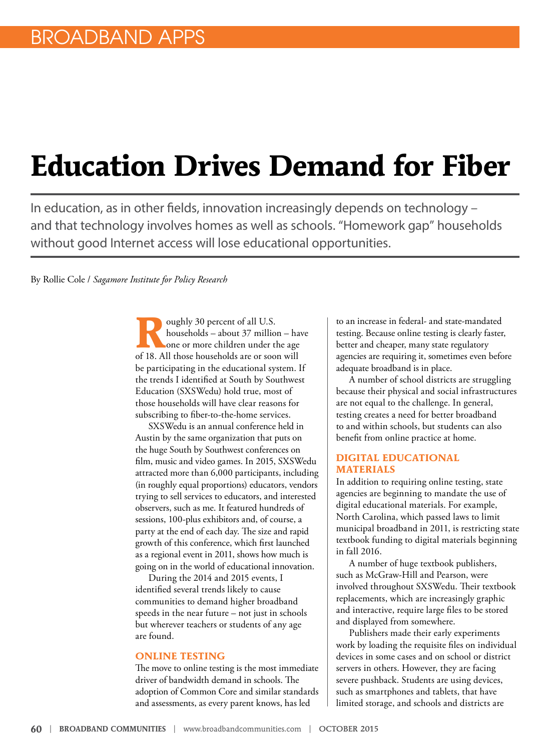# **Education Drives Demand for Fiber**

In education, as in other fields, innovation increasingly depends on technology – and that technology involves homes as well as schools. "Homework gap" households without good Internet access will lose educational opportunities.

By Rollie Cole / *Sagamore Institute for Policy Research*

oughly 30 percent of all U.S.<br>households – about 37 million<br>one or more children under the<br>f<sup>19</sup> <sup>All these bouchelds are ax asso</sup> households – about 37 million – have one or more children under the age of 18. All those households are or soon will be participating in the educational system. If the trends I identified at South by Southwest Education (SXSWedu) hold true, most of those households will have clear reasons for subscribing to fiber-to-the-home services.

SXSWedu is an annual conference held in Austin by the same organization that puts on the huge South by Southwest conferences on film, music and video games. In 2015, SXSWedu attracted more than 6,000 participants, including (in roughly equal proportions) educators, vendors trying to sell services to educators, and interested observers, such as me. It featured hundreds of sessions, 100-plus exhibitors and, of course, a party at the end of each day. The size and rapid growth of this conference, which first launched as a regional event in 2011, shows how much is going on in the world of educational innovation.

During the 2014 and 2015 events, I identified several trends likely to cause communities to demand higher broadband speeds in the near future – not just in schools but wherever teachers or students of any age are found.

#### **ONLINE TESTING**

The move to online testing is the most immediate driver of bandwidth demand in schools. The adoption of Common Core and similar standards and assessments, as every parent knows, has led

to an increase in federal- and state-mandated testing. Because online testing is clearly faster, better and cheaper, many state regulatory agencies are requiring it, sometimes even before adequate broadband is in place.

A number of school districts are struggling because their physical and social infrastructures are not equal to the challenge. In general, testing creates a need for better broadband to and within schools, but students can also benefit from online practice at home.

#### **DIGITAL EDUCATIONAL MATERIALS**

In addition to requiring online testing, state agencies are beginning to mandate the use of digital educational materials. For example, North Carolina, which passed laws to limit municipal broadband in 2011, is restricting state textbook funding to digital materials beginning in fall 2016.

A number of huge textbook publishers, such as McGraw-Hill and Pearson, were involved throughout SXSWedu. Their textbook replacements, which are increasingly graphic and interactive, require large files to be stored and displayed from somewhere.

Publishers made their early experiments work by loading the requisite files on individual devices in some cases and on school or district servers in others. However, they are facing severe pushback. Students are using devices, such as smartphones and tablets, that have limited storage, and schools and districts are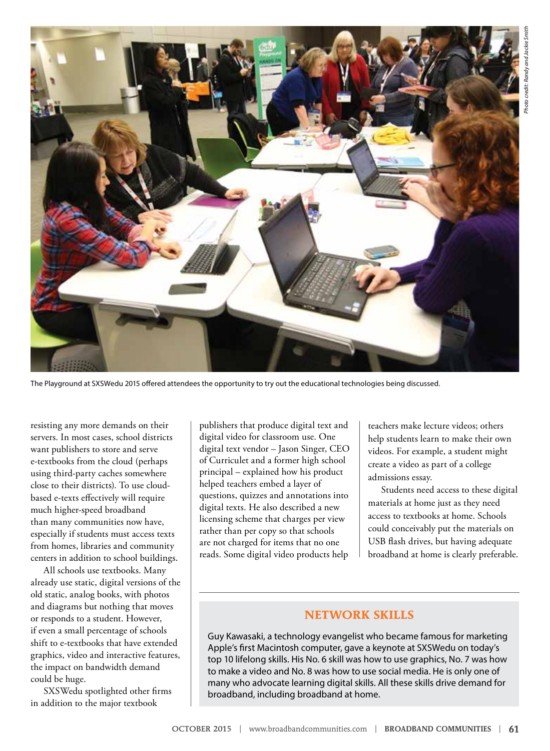

The Playground at SXSWedu 2015 offered attendees the opportunity to try out the educational technologies being discussed.

resisting any more demands on their servers. In most cases, school districts want publishers to store and serve e-textbooks from the cloud (perhaps using third-party caches somewhere close to their districts). To use cloudbased e-texts effectively will require much higher-speed broadband than many communities now have, especially if students must access texts from homes, libraries and community centers in addition to school buildings.

All schools use textbooks. Many already use static, digital versions of the old static, analog books, with photos and diagrams but nothing that moves or responds to a student. However, if even a small percentage of schools shift to e-textbooks that have extended graphics, video and interactive features, the impact on bandwidth demand could be huge.

SXSWedu spotlighted other firms in addition to the major textbook

publishers that produce digital text and digital video for classroom use. One digital text vendor – Jason Singer, CEO of Curriculet and a former high school principal – explained how his product helped teachers embed a layer of questions, quizzes and annotations into digital texts. He also described a new licensing scheme that charges per view rather than per copy so that schools are not charged for items that no one reads. Some digital video products help

teachers make lecture videos; others help students learn to make their own videos. For example, a student might create a video as part of a college admissions essay.

Students need access to these digital materials at home just as they need access to textbooks at home. Schools could conceivably put the materials on USB flash drives, but having adequate broadband at home is clearly preferable.

#### **NETWORK SKILLS**

Guy Kawasaki, a technology evangelist who became famous for marketing Apple's first Macintosh computer, gave a keynote at SXSWedu on today's top 10 lifelong skills. His No. 6 skill was how to use graphics, No. 7 was how to make a video and No. 8 was how to use social media. He is only one of many who advocate learning digital skills. All these skills drive demand for broadband, including broadband at home.